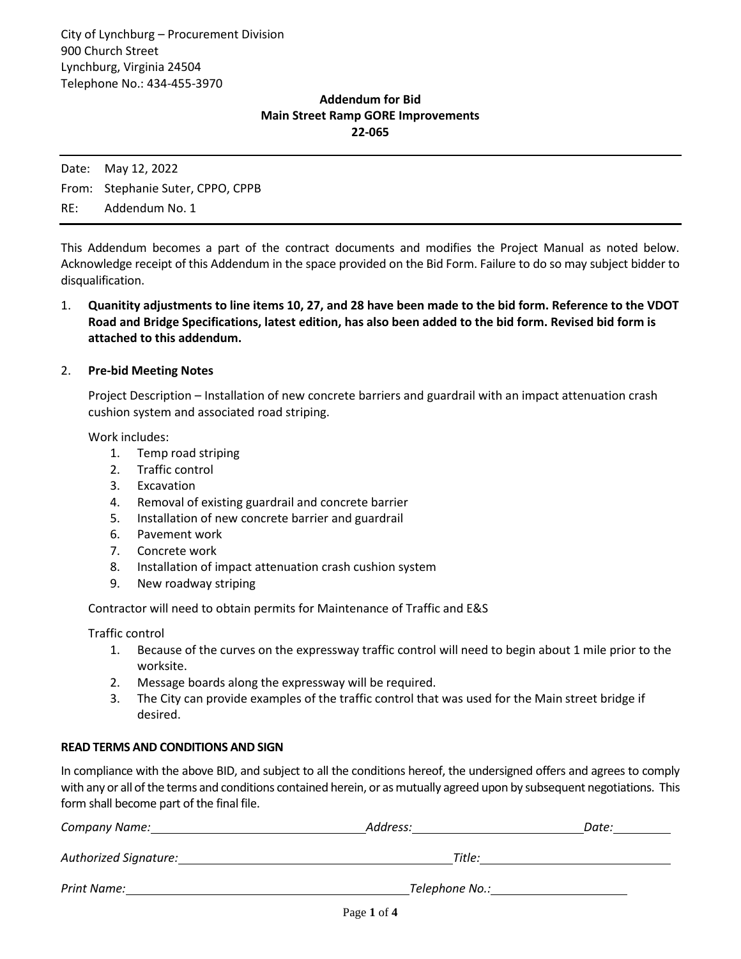## **Addendum for Bid Main Street Ramp GORE Improvements 22-065**

Date: May 12, 2022 From: Stephanie Suter, CPPO, CPPB RE: Addendum No. 1

This Addendum becomes a part of the contract documents and modifies the Project Manual as noted below. Acknowledge receipt of this Addendum in the space provided on the Bid Form. Failure to do so may subject bidder to disqualification.

1. **Quanitity adjustments to line items 10, 27, and 28 have been made to the bid form. Reference to the VDOT Road and Bridge Specifications, latest edition, has also been added to the bid form. Revised bid form is attached to this addendum.** 

#### 2. **Pre-bid Meeting Notes**

Project Description – Installation of new concrete barriers and guardrail with an impact attenuation crash cushion system and associated road striping.

Work includes:

- 1. Temp road striping
- 2. Traffic control
- 3. Excavation
- 4. Removal of existing guardrail and concrete barrier
- 5. Installation of new concrete barrier and guardrail
- 6. Pavement work
- 7. Concrete work
- 8. Installation of impact attenuation crash cushion system
- 9. New roadway striping

Contractor will need to obtain permits for Maintenance of Traffic and E&S

Traffic control

- 1. Because of the curves on the expressway traffic control will need to begin about 1 mile prior to the worksite.
- 2. Message boards along the expressway will be required.
- 3. The City can provide examples of the traffic control that was used for the Main street bridge if desired.

#### **READ TERMS AND CONDITIONS AND SIGN**

In compliance with the above BID, and subject to all the conditions hereof, the undersigned offers and agrees to comply with any or all of the terms and conditions contained herein, or as mutually agreed upon by subsequent negotiations. This form shall become part of the final file.

| <b>Company Name:</b>         | Address:       | Date: |  |  |  |
|------------------------------|----------------|-------|--|--|--|
| <b>Authorized Signature:</b> | Title:         |       |  |  |  |
| Print Name:                  | Telephone No.: |       |  |  |  |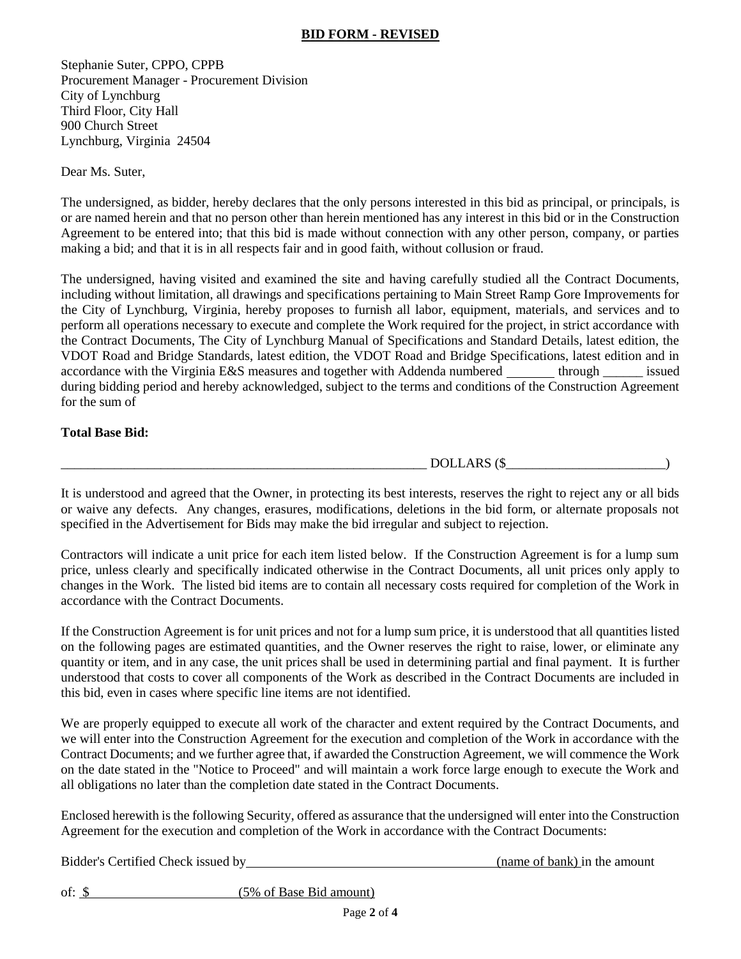# **BID FORM - REVISED**

Stephanie Suter, CPPO, CPPB Procurement Manager - Procurement Division City of Lynchburg Third Floor, City Hall 900 Church Street Lynchburg, Virginia 24504

Dear Ms. Suter,

The undersigned, as bidder, hereby declares that the only persons interested in this bid as principal, or principals, is or are named herein and that no person other than herein mentioned has any interest in this bid or in the Construction Agreement to be entered into; that this bid is made without connection with any other person, company, or parties making a bid; and that it is in all respects fair and in good faith, without collusion or fraud.

The undersigned, having visited and examined the site and having carefully studied all the Contract Documents, including without limitation, all drawings and specifications pertaining to Main Street Ramp Gore Improvements for the City of Lynchburg, Virginia, hereby proposes to furnish all labor, equipment, materials, and services and to perform all operations necessary to execute and complete the Work required for the project, in strict accordance with the Contract Documents, The City of Lynchburg Manual of Specifications and Standard Details, latest edition, the VDOT Road and Bridge Standards, latest edition, the VDOT Road and Bridge Specifications, latest edition and in accordance with the Virginia E&S measures and together with Addenda numbered through issued during bidding period and hereby acknowledged, subject to the terms and conditions of the Construction Agreement for the sum of

## **Total Base Bid:**

 $DOLLARS$  ( $\$\,$ 

It is understood and agreed that the Owner, in protecting its best interests, reserves the right to reject any or all bids or waive any defects. Any changes, erasures, modifications, deletions in the bid form, or alternate proposals not specified in the Advertisement for Bids may make the bid irregular and subject to rejection.

Contractors will indicate a unit price for each item listed below. If the Construction Agreement is for a lump sum price, unless clearly and specifically indicated otherwise in the Contract Documents, all unit prices only apply to changes in the Work. The listed bid items are to contain all necessary costs required for completion of the Work in accordance with the Contract Documents.

If the Construction Agreement is for unit prices and not for a lump sum price, it is understood that all quantities listed on the following pages are estimated quantities, and the Owner reserves the right to raise, lower, or eliminate any quantity or item, and in any case, the unit prices shall be used in determining partial and final payment. It is further understood that costs to cover all components of the Work as described in the Contract Documents are included in this bid, even in cases where specific line items are not identified.

We are properly equipped to execute all work of the character and extent required by the Contract Documents, and we will enter into the Construction Agreement for the execution and completion of the Work in accordance with the Contract Documents; and we further agree that, if awarded the Construction Agreement, we will commence the Work on the date stated in the "Notice to Proceed" and will maintain a work force large enough to execute the Work and all obligations no later than the completion date stated in the Contract Documents.

Enclosed herewith is the following Security, offered as assurance that the undersigned will enter into the Construction Agreement for the execution and completion of the Work in accordance with the Contract Documents:

Bidder's Certified Check issued by (name of bank) in the amount

of: \$ (5% of Base Bid amount)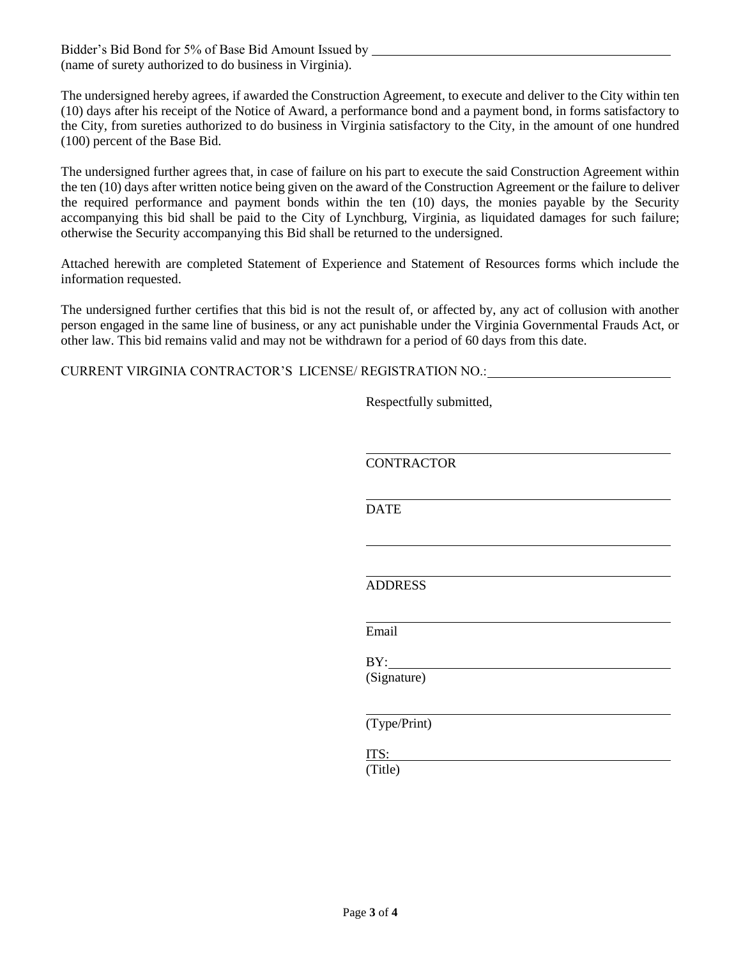Bidder's Bid Bond for 5% of Base Bid Amount Issued by (name of surety authorized to do business in Virginia).

The undersigned hereby agrees, if awarded the Construction Agreement, to execute and deliver to the City within ten (10) days after his receipt of the Notice of Award, a performance bond and a payment bond, in forms satisfactory to the City, from sureties authorized to do business in Virginia satisfactory to the City, in the amount of one hundred (100) percent of the Base Bid.

The undersigned further agrees that, in case of failure on his part to execute the said Construction Agreement within the ten (10) days after written notice being given on the award of the Construction Agreement or the failure to deliver the required performance and payment bonds within the ten (10) days, the monies payable by the Security accompanying this bid shall be paid to the City of Lynchburg, Virginia, as liquidated damages for such failure; otherwise the Security accompanying this Bid shall be returned to the undersigned.

Attached herewith are completed Statement of Experience and Statement of Resources forms which include the information requested.

The undersigned further certifies that this bid is not the result of, or affected by, any act of collusion with another person engaged in the same line of business, or any act punishable under the Virginia Governmental Frauds Act, or other law. This bid remains valid and may not be withdrawn for a period of 60 days from this date.

CURRENT VIRGINIA CONTRACTOR'S LICENSE/ REGISTRATION NO.:

Respectfully submitted,

**CONTRACTOR DATE** ADDRESS Email  $BY:$ (Signature) l (Type/Print) ITS: (Title)